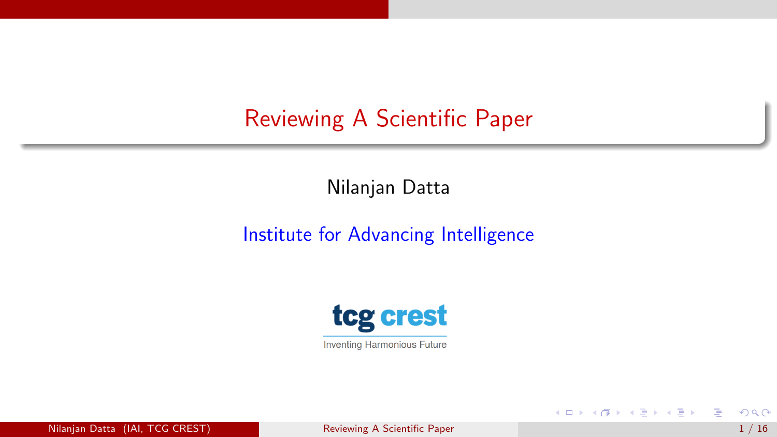# <span id="page-0-0"></span>Reviewing A Scientific Paper

Nilanjan Datta

#### Institute for Advancing Intelligence



Nilanjan Datta (IAI, TCG CREST) [Reviewing A Scientific Paper](#page-18-0) 1 / 16 AM AND 1 / 16 AM AND 1 / 16

**K ロ ▶ K 御 ▶ K 舌** 

 $|b| = 4$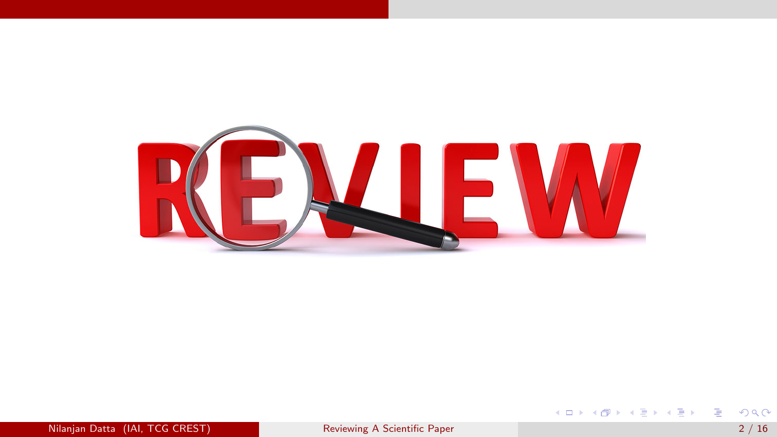

**K ロ ▶ K 個 ▶ K 星 ▶ K 星 ▶ │ 星 │ 約 9,0 º**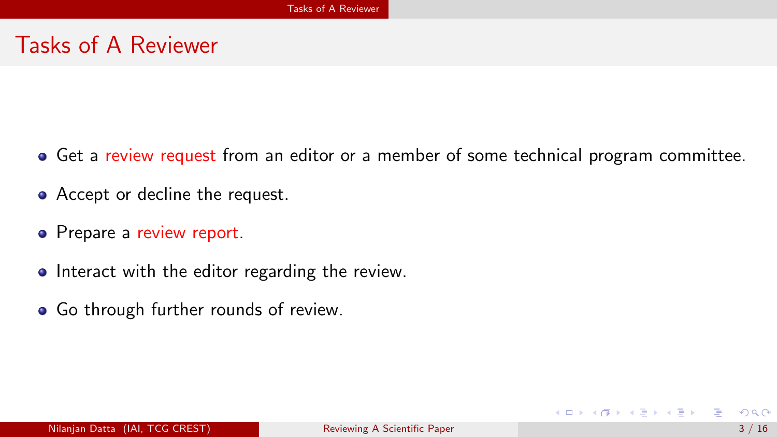### <span id="page-2-0"></span>Tasks of A Reviewer

- Get a review request from an editor or a member of some technical program committee.
- Accept or decline the request.
- Prepare a review report.
- Interact with the editor regarding the review.
- **•** Go through further rounds of review.

イロト イ母 ト イヨ ト イヨ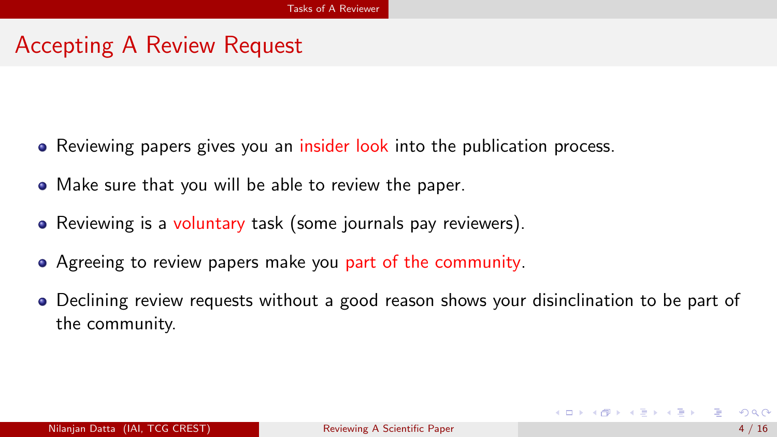## <span id="page-3-0"></span>Accepting A Review Request

- Reviewing papers gives you an insider look into the publication process.
- Make sure that you will be able to review the paper.
- Reviewing is a voluntary task (some journals pay reviewers).
- Agreeing to review papers make you part of the community.
- Declining review requests without a good reason shows your disinclination to be part of the community.

イロト イ押ト イヨト イヨト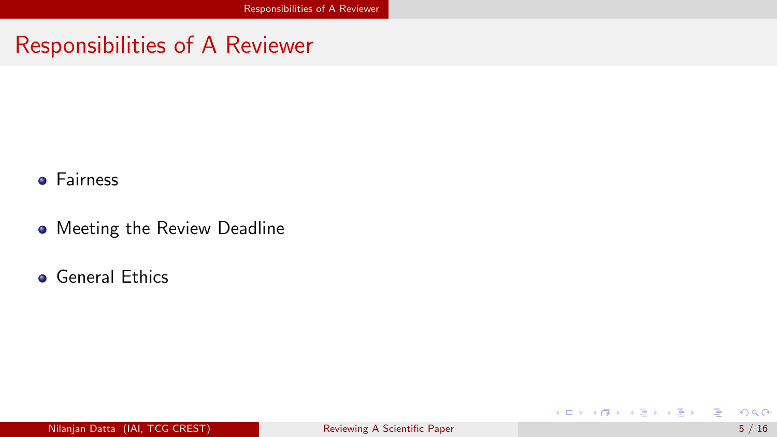### <span id="page-4-0"></span>Responsibilities of A Reviewer

- **•** Fairness
- **•** Meeting the Review Deadline
- **o** General Ethics

造

メロトメ 伊 トメ 君 トメ 君 ト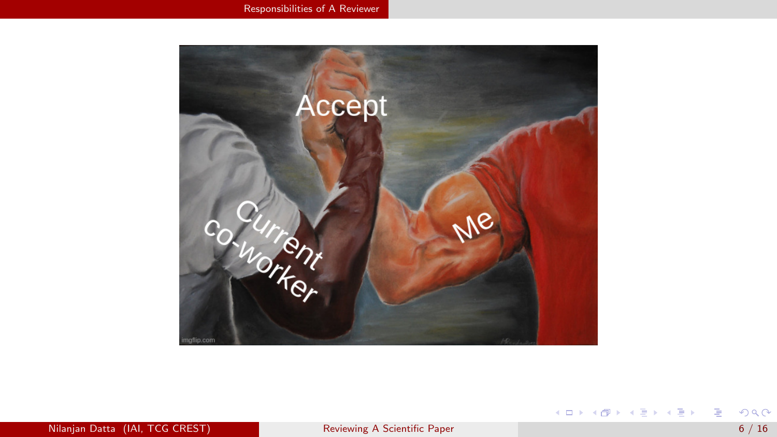<span id="page-5-0"></span>

メロトメ 御 トメ 君 トメ 君 トッ 君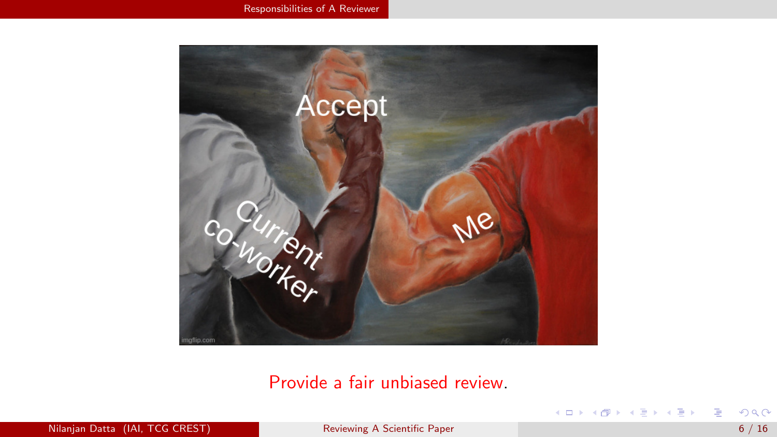<span id="page-6-0"></span>

Provide a fair unbiased review.

Nilanjan Datta (IAI, TCG CREST) [Reviewing A Scientific Paper](#page-0-0) 6 / 16

造

メロト メタト メミト メミトー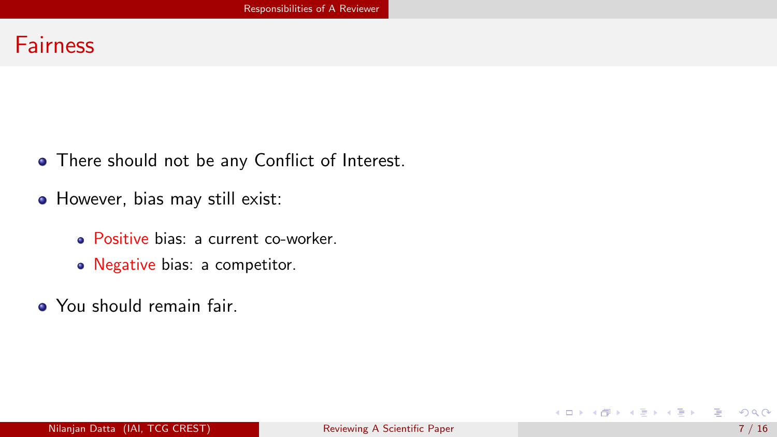#### <span id="page-7-0"></span>**Fairness**

- There should not be any Conflict of Interest.
- However, bias may still exist:
	- **Positive bias: a current co-worker.**
	- Negative bias: a competitor.
- You should remain fair.

画

メロメ メタメメ きょくき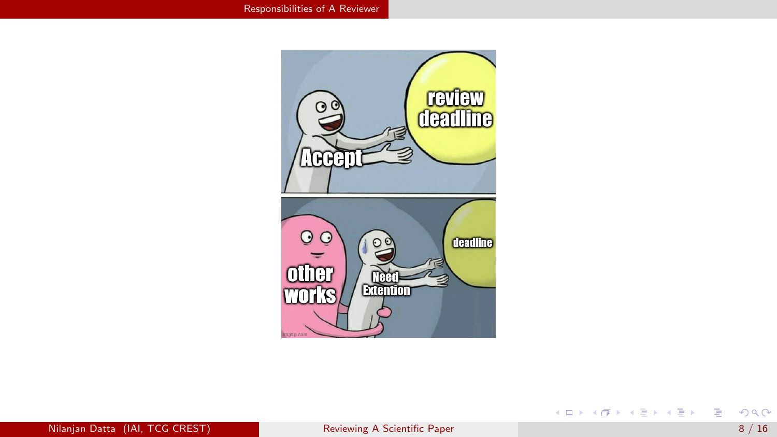<span id="page-8-0"></span>

メロトメ 御 トメ 君 トメ 君 トッ 君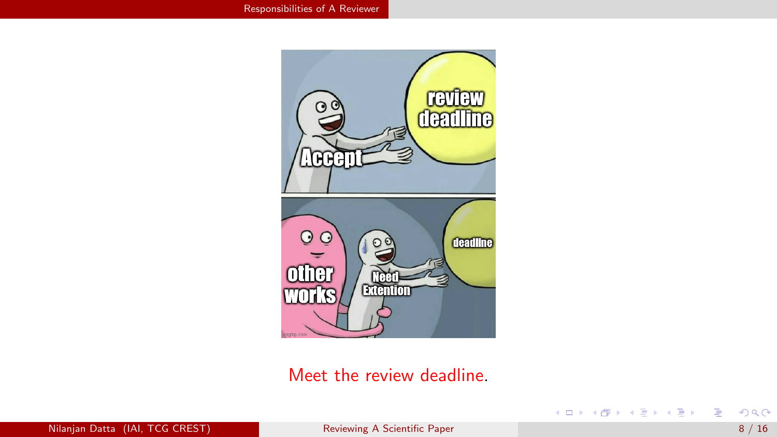<span id="page-9-0"></span>

#### Meet the review deadline.

メロトメ 御 トメ 君 トメ 君 トッ 君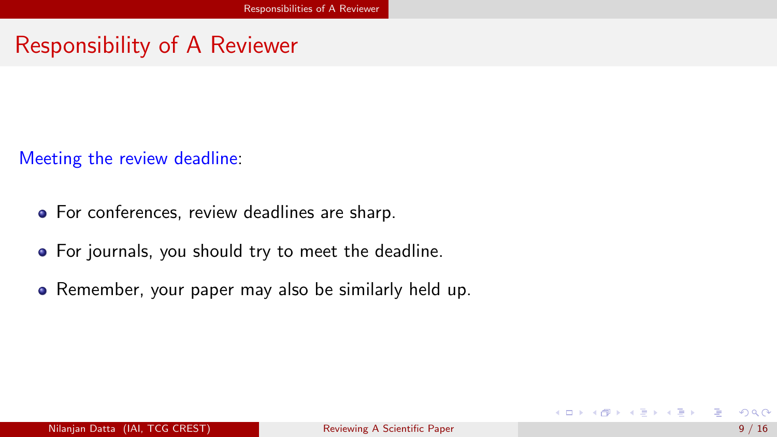# <span id="page-10-0"></span>Responsibility of A Reviewer

Meeting the review deadline:

- For conferences, review deadlines are sharp.
- For journals, you should try to meet the deadline.
- Remember, your paper may also be similarly held up.

イロト イ母 ト イヨ ト イヨ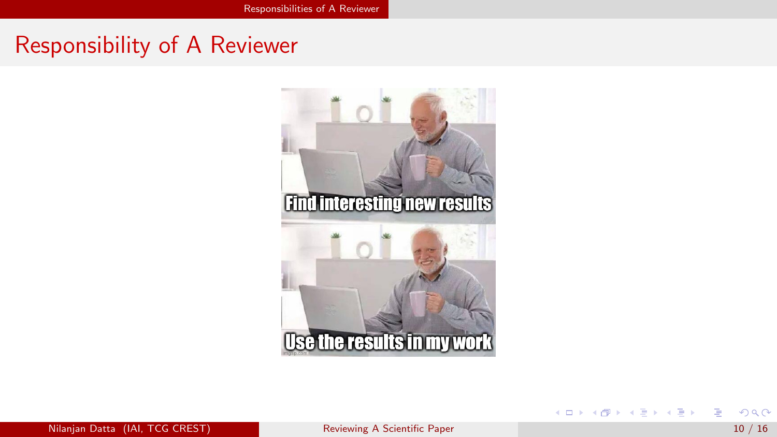### <span id="page-11-0"></span>Responsibility of A Reviewer



J. 重

イロト イ部 トイモト イ毛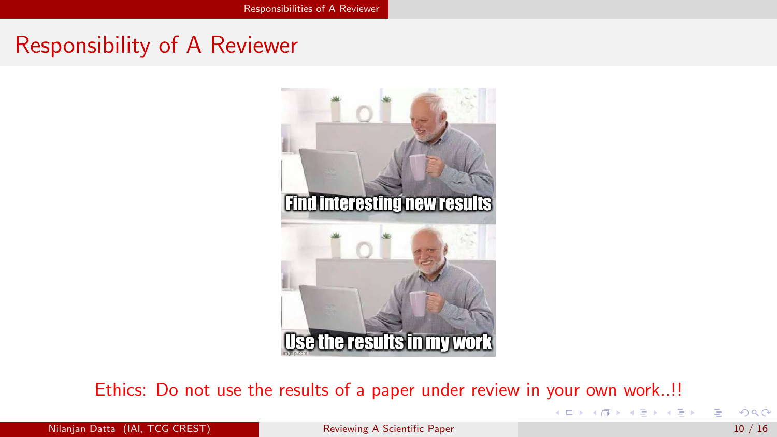## <span id="page-12-0"></span>Responsibility of A Reviewer



Ethics: Do not use the results of a paper under review in your own work..!!

Nilanjan Datta (IAI, TCG CREST) [Reviewing A Scientific Paper](#page-0-0) 10 / 16

イロト イ部 トメ ヨ トメ ヨト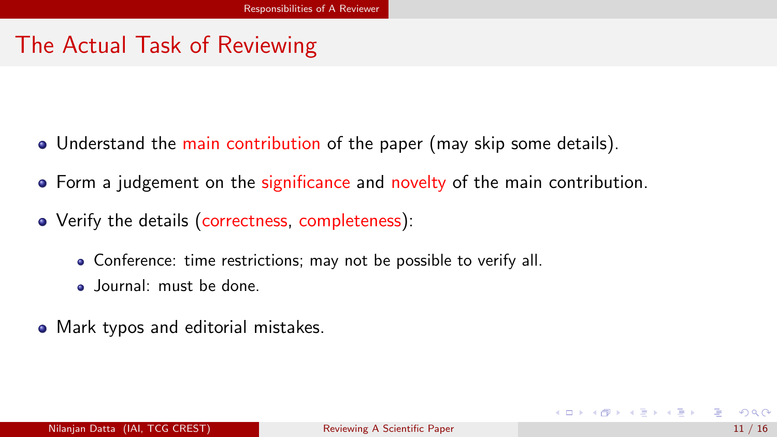# <span id="page-13-0"></span>The Actual Task of Reviewing

- Understand the main contribution of the paper (may skip some details).
- Form a judgement on the significance and novelty of the main contribution.
- Verify the details (correctness, completeness):
	- Conference: time restrictions; may not be possible to verify all.
	- Journal: must be done.
- Mark typos and editorial mistakes.

イロト イ母 ト イヨ ト イヨ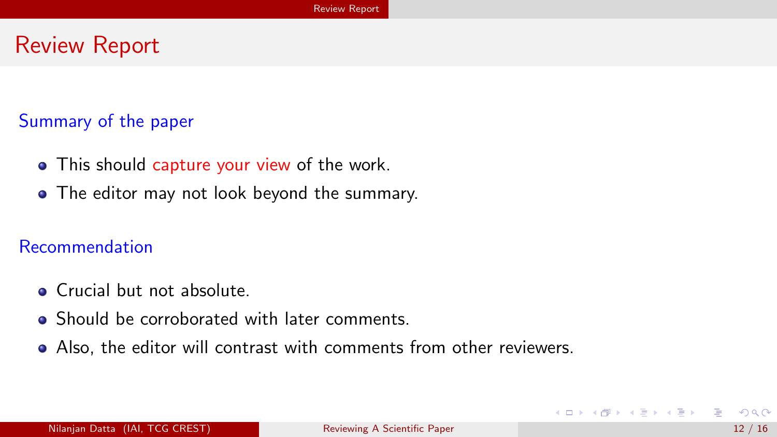### <span id="page-14-0"></span>Review Report

#### Summary of the paper

- This should capture your view of the work.
- The editor may not look beyond the summary.

#### Recommendation

- **o** Crucial but not absolute.
- Should be corroborated with later comments.
- Also, the editor will contrast with comments from other reviewers.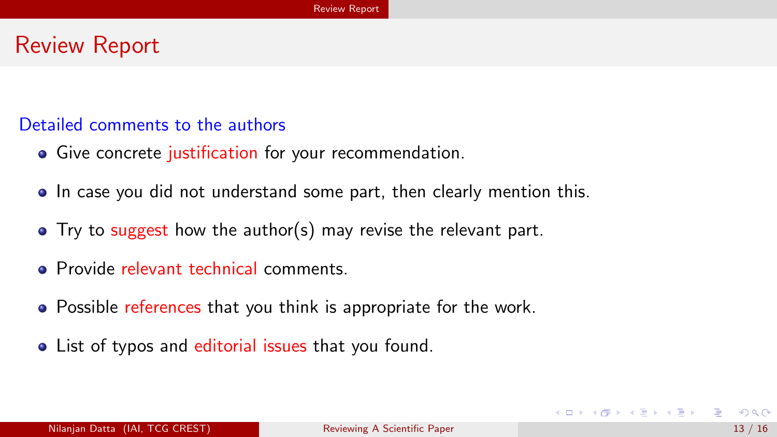### <span id="page-15-0"></span>Review Report

#### Detailed comments to the authors

- Give concrete justification for your recommendation.
- In case you did not understand some part, then clearly mention this.
- Try to suggest how the author(s) may revise the relevant part.
- **Provide relevant technical comments.**
- Possible references that you think is appropriate for the work.
- List of typos and editorial issues that you found.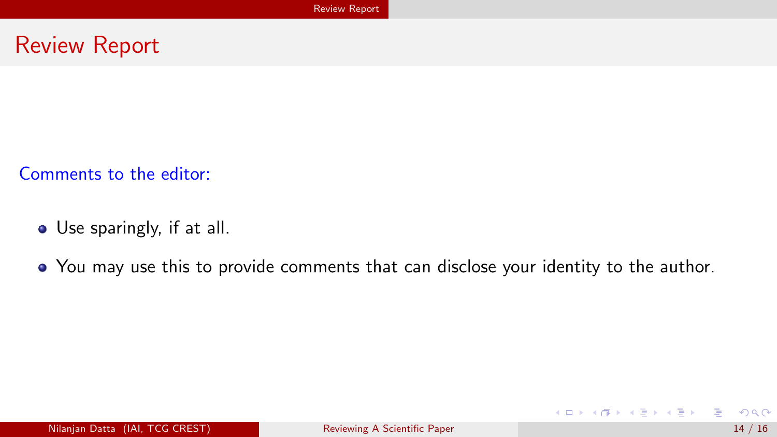#### <span id="page-16-0"></span>Review Report

Comments to the editor:

- **•** Use sparingly, if at all.
- You may use this to provide comments that can disclose your identity to the author.

э

メロメ メタメメ きょくき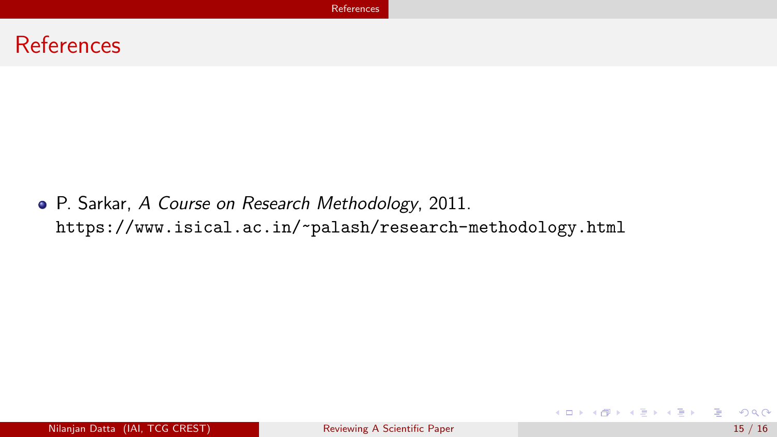<span id="page-17-0"></span>

P. Sarkar, A Course on Research Methodology, 2011. <https://www.isical.ac.in/~palash/research-methodology.html>

э

メロメ メタメメ きょくき